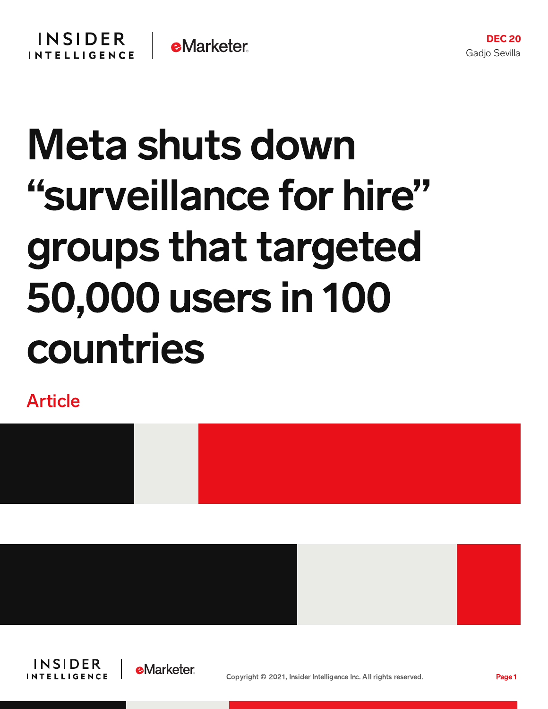## Meta shuts down "surveillance for hire" groups that targeted 50,000 users in 100 countries

Article







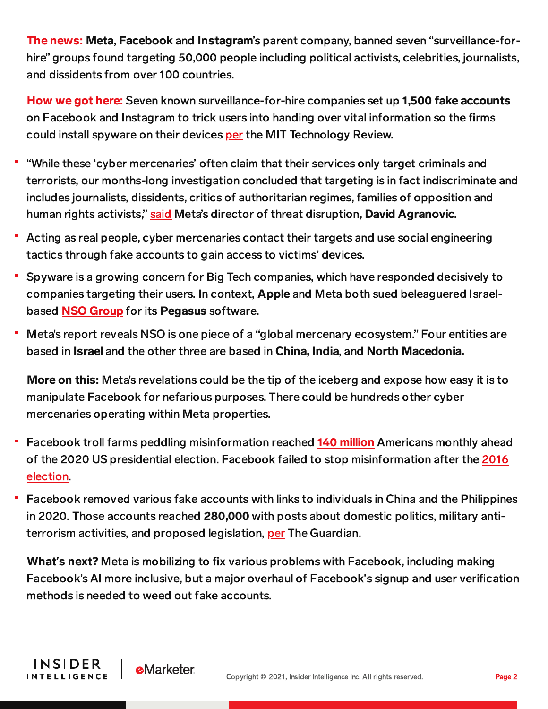The news: Meta, Facebook and Instagram's parent company, banned seven "surveillance-forhire" groups found targeting 50,000 people including political activists, celebrities, journalists, and dissidents from over 100 countries.

How we got here: Seven known surveillance-for-hire companies set up 1,500 fake accounts on Facebook and Instagram to trick users into handing over vital information so the firms could install spyware on their devices [per](https://www.technologyreview.com/2021/12/16/1042652/facebook-says-50000-users-were-targeted-by-cyber-mercenary-firms-in-2021/) the MIT Technology Review.

- "While these 'cyber mercenaries' often claim that their services only target criminals and terrorists, our months-long investigation concluded that targeting is in fact indiscriminate and includes journalists, dissidents, critics of authoritarian regimes, families of opposition and human rights activists," [said](https://about.fb.com/news/2021/12/taking-action-against-surveillance-for-hire/) Meta's director of threat disruption, David Agranovic.
- Acting as real people, cyber mercenaries contact their targets and use social engineering tactics through fake accounts to gain access to victims' devices.
- Spyware is a growing concern for Big Tech companies, which have responded decisively to companies targeting their users. In context, Apple and Meta both sued beleaguered Israelbased **NSO [Group](https://content-na2.emarketer.com/nso-considers-killing-pegasus-spyware-due-mounting-financial-legal-pressure)** for its **Pegasus** software.
- Meta's report reveals NSO is one piece of a "global mercenary ecosystem." Four entities are based in Israel and the other three are based in China, India, and North Macedonia.

More on this: Meta's revelations could be the tip of the iceberg and expose how easy it is to manipulate Facebook for nefarious purposes. There could be hundreds other cyber mercenaries operating within Meta properties.

- Facebook troll farms peddling misinformation reached 140 [million](https://www.businessinsider.com/facebook-troll-farms-peddling-misinformation-reached-nearly-half-of-americans-2021-9) Americans monthly ahead of the 2020 US presidential election. Facebook failed to stop [misinformation](https://www.businessinsider.com/trump-confirms-us-cyberattack-russia-troll-farm-ira-2020-7) after the 2016 election.
- Facebook removed various fake accounts with links to individuals in China and the Philippines in 2020. Those accounts reached 280,000 with posts about domestic politics, military antiterrorism activities, and proposed legislation, [per](https://www.theguardian.com/technology/2020/sep/23/facebook-removes-fake-accounts-with-links-to-china-and-philippines) The Guardian.

What**'**s next? Meta is mobilizing to fix various problems with Facebook, including making Facebook's AI more inclusive, but a major overhaul of Facebook's signup and user verification methods is needed to weed out fake accounts.

**INSIDER** 

**INTELLIGENCE** 

**e**Marketer